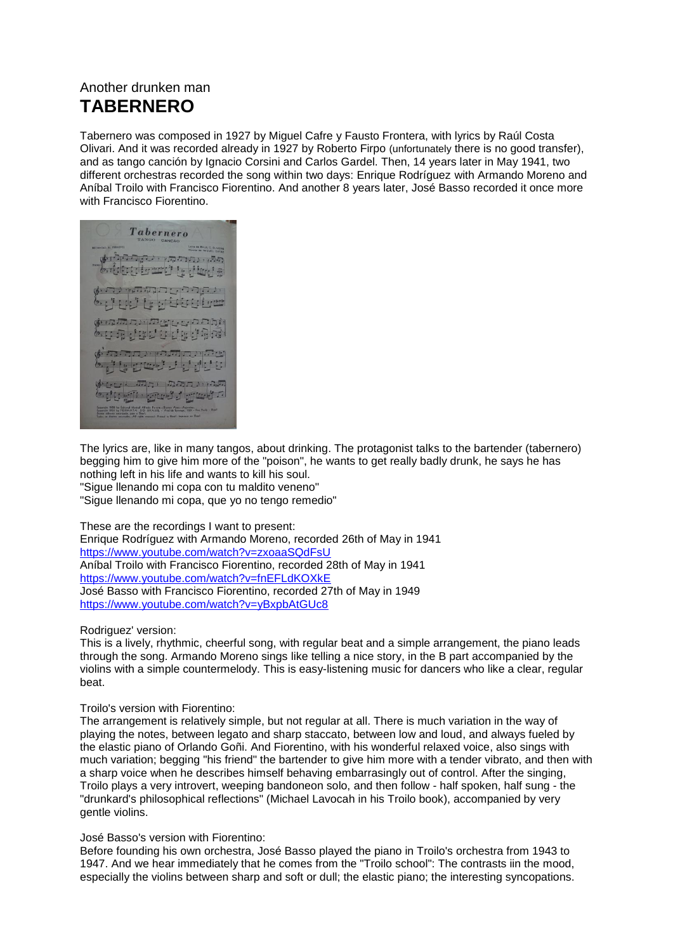## Another drunken man **TABERNERO**

Tabernero was composed in 1927 by Miguel Cafre y Fausto Frontera, with lyrics by Raúl Costa Olivari. And it was recorded already in 1927 by Roberto Firpo (unfortunately there is no good transfer), and as tango canción by Ignacio Corsini and Carlos Gardel. Then, 14 years later in May 1941, two different orchestras recorded the song within two days: Enrique Rodríguez with Armando Moreno and Aníbal Troilo with Francisco Fiorentino. And another 8 years later, José Basso recorded it once more with Francisco Fiorentino.

Tabernero المنتقلة والمنافذة المناور والمستعارية المجار ation there are the المزكان ن الكنان المناقشة المستعدة فسنقسط فالمنافذ فالمنافذ ابرای ماه ماها ساخت ساخته 医生死性出生白细胞样 المناقل المسالقة والمسال المستقلة أناني فالناثن فبالتعاتب وأنافته (をしし)に ホカ 川のホカ いいふ bela grade gara 

The lyrics are, like in many tangos, about drinking. The protagonist talks to the bartender (tabernero) begging him to give him more of the "poison", he wants to get really badly drunk, he says he has nothing left in his life and wants to kill his soul.

"Sigue llenando mi copa con tu maldito veneno"

"Sigue llenando mi copa, que yo no tengo remedio"

These are the recordings I want to present: Enrique Rodríguez with Armando Moreno, recorded 26th of May in 1941 <https://www.youtube.com/watch?v=zxoaaSQdFsU> Aníbal Troilo with Francisco Fiorentino, recorded 28th of May in 1941 <https://www.youtube.com/watch?v=fnEFLdKOXkE>

José Basso with Francisco Fiorentino, recorded 27th of May in 1949 <https://www.youtube.com/watch?v=yBxpbAtGUc8>

Rodriguez' version:

This is a lively, rhythmic, cheerful song, with regular beat and a simple arrangement, the piano leads through the song. Armando Moreno sings like telling a nice story, in the B part accompanied by the violins with a simple countermelody. This is easy-listening music for dancers who like a clear, regular beat.

## Troilo's version with Fiorentino:

The arrangement is relatively simple, but not regular at all. There is much variation in the way of playing the notes, between legato and sharp staccato, between low and loud, and always fueled by the elastic piano of Orlando Goñi. And Fiorentino, with his wonderful relaxed voice, also sings with much variation; begging "his friend" the bartender to give him more with a tender vibrato, and then with a sharp voice when he describes himself behaving embarrasingly out of control. After the singing, Troilo plays a very introvert, weeping bandoneon solo, and then follow - half spoken, half sung - the "drunkard's philosophical reflections" (Michael Lavocah in his Troilo book), accompanied by very gentle violins.

## José Basso's version with Fiorentino:

Before founding his own orchestra, José Basso played the piano in Troilo's orchestra from 1943 to 1947. And we hear immediately that he comes from the "Troilo school": The contrasts iin the mood, especially the violins between sharp and soft or dull; the elastic piano; the interesting syncopations.